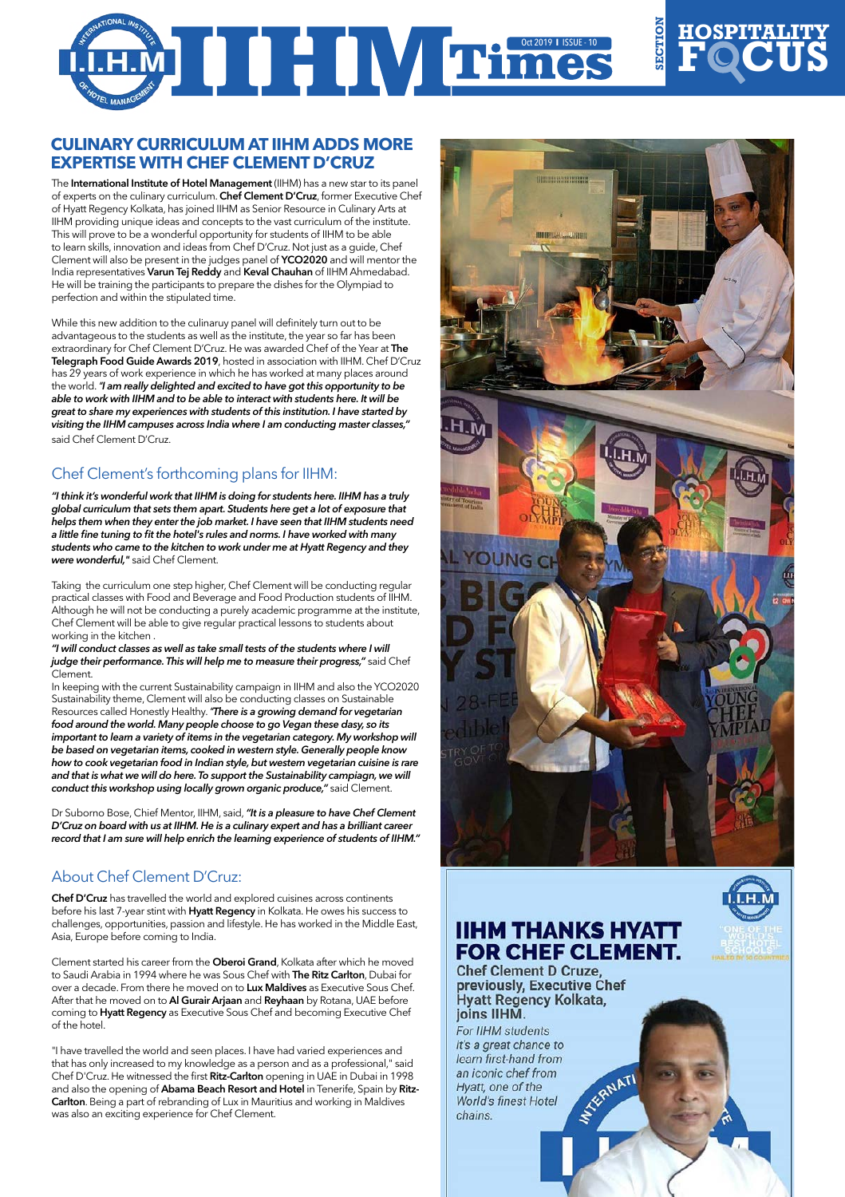# OCT 2019 **I** ISSUE-10

#### **Culinary Curriculum at IIHM adds more expertise with Chef Clement D'Cruz**

The International Institute of Hotel Management (IIHM) has a new star to its panel of experts on the culinary curriculum. Chef Clement D'Cruz, former Executive Chef of Hyatt Regency Kolkata, has joined IIHM as Senior Resource in Culinary Arts at IIHM providing unique ideas and concepts to the vast curriculum of the institute. This will prove to be a wonderful opportunity for students of IIHM to be able to learn skills, innovation and ideas from Chef D'Cruz. Not just as a guide, Chef Clement will also be present in the judges panel of YCO2020 and will mentor the India representatives Varun Tej Reddy and Keval Chauhan of IIHM Ahmedabad. He will be training the participants to prepare the dishes for the Olympiad to perfection and within the stipulated time.

While this new addition to the culinaruy panel will definitely turn out to be advantageous to the students as well as the institute, the year so far has been extraordinary for Chef Clement D'Cruz. He was awarded Chef of the Year at The Telegraph Food Guide Awards 2019, hosted in association with IIHM. Chef D'Cruz has 29 years of work experience in which he has worked at many places around the world. *"I am really delighted and excited to have got this opportunity to be able to work with IIHM and to be able to interact with students here. It will be great to share my experiences with students of this institution. I have started by visiting the IIHM campuses across India where I am conducting master classes,"* said Chef Clement D'Cruz.

#### Chef Clement's forthcoming plans for IIHM:

*"I think it's wonderful work that IIHM is doing for students here. IIHM has a truly global curriculum that sets them apart. Students here get a lot of exposure that helps them when they enter the job market. I have seen that IIHM students need a little fine tuning to fit the hotel's rules and norms. I have worked with many students who came to the kitchen to work under me at Hyatt Regency and they were wonderful,"* said Chef Clement.

Taking the curriculum one step higher, Chef Clement will be conducting regular practical classes with Food and Beverage and Food Production students of IIHM. Although he will not be conducting a purely academic programme at the institute, Chef Clement will be able to give regular practical lessons to students about working in the kitchen .

*"I will conduct classes as well as take small tests of the students where I will judge their performance. This will help me to measure their progress,"* said Chef Clement.

In keeping with the current Sustainability campaign in IIHM and also the YCO2020 Sustainability theme, Clement will also be conducting classes on Sustainable Resources called Honestly Healthy. *"There is a growing demand for vegetarian food around the world. Many people choose to go Vegan these dasy, so its*  important to learn a variety of items in the vegetarian category. My workshop will *be based on vegetarian items, cooked in western style. Generally people know how to cook vegetarian food in Indian style, but western vegetarian cuisine is rare*  and that is what we will do here. To support the Sustainability campiagn, we will *conduct this workshop using locally grown organic produce,"* said Clement.

Dr Suborno Bose, Chief Mentor, IIHM, said, *"It is a pleasure to have Chef Clement D'Cruz on board with us at IIHM. He is a culinary expert and has a brilliant career record that I am sure will help enrich the learning experience of students of IIHM."*

### About Chef Clement D'Cruz:

Chef D'Cruz has travelled the world and explored cuisines across continents before his last 7-year stint with Hyatt Regency in Kolkata. He owes his success to challenges, opportunities, passion and lifestyle. He has worked in the Middle East, Asia, Europe before coming to India.

Clement started his career from the Oberoi Grand, Kolkata after which he moved to Saudi Arabia in 1994 where he was Sous Chef with **The Ritz Carlton**, Dubai for over a decade. From there he moved on to Lux Maldives as Executive Sous Chef. After that he moved on to Al Gurair Arjaan and Reyhaan by Rotana, UAE before coming to Hyatt Regency as Executive Sous Chef and becoming Executive Chef of the hotel.

"I have travelled the world and seen places. I have had varied experiences and that has only increased to my knowledge as a person and as a professional," said Chef D'Cruz. He witnessed the first Ritz-Carlton opening in UAE in Dubai in 1998 and also the opening of Abama Beach Resort and Hotel in Tenerife, Spain by Ritz-Carlton. Being a part of rebranding of Lux in Mauritius and working in Maldives was also an exciting experience for Chef Clement.



**Hospitality**

 $$ 

**SE**

**CTION**

## **IIHM THANKS HYATT FOR CHEF CLEMENT.**

**Chef Clement D Cruze.** previously, Executive Chef Hyatt Regency Kolkata, joins IIHM.

For IIHM students it's a great chance to learn first-hand from **SEXERNATI** an iconic chef from Hyatt, one of the **World's finest Hotel** chains.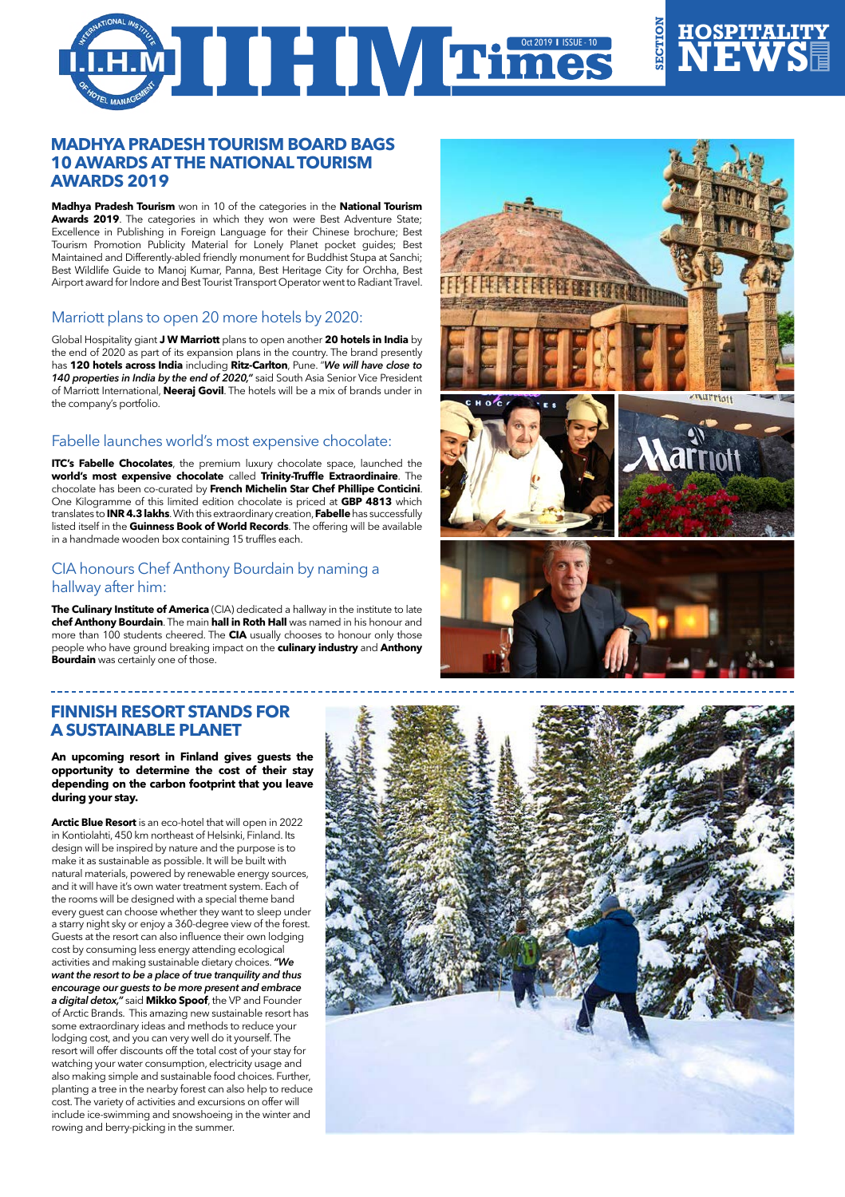# OCT 2019 **I** ISSUE-10

#### **Madhya Pradesh Tourism board bags 10 awards at the National Tourism Awards 2019**

**Madhya Pradesh Tourism** won in 10 of the categories in the **National Tourism**  Awards 2019. The categories in which they won were Best Adventure State; Excellence in Publishing in Foreign Language for their Chinese brochure; Best Tourism Promotion Publicity Material for Lonely Planet pocket guides; Best Maintained and Differently-abled friendly monument for Buddhist Stupa at Sanchi; Best Wildlife Guide to Manoj Kumar, Panna, Best Heritage City for Orchha, Best Airport award for Indore and Best Tourist Transport Operator went to Radiant Travel.

#### Marriott plans to open 20 more hotels by 2020:

Global Hospitality giant **J W Marriott** plans to open another **20 hotels in India** by the end of 2020 as part of its expansion plans in the country. The brand presently has **120 hotels across India** including **Ritz-Carlton**, Pune. "*We will have close to 140 properties in India by the end of 2020,"* said South Asia Senior Vice President of Marriott International, **Neeraj Govil**. The hotels will be a mix of brands under in the company's portfolio.

#### Fabelle launches world's most expensive chocolate:

**ITC's Fabelle Chocolates**, the premium luxury chocolate space, launched the **world's most expensive chocolate** called **Trinity-Truffle Extraordinaire**. The chocolate has been co-curated by **French Michelin Star Chef Phillipe Conticini**. One Kilogramme of this limited edition chocolate is priced at **GBP 4813** which translates to **INR 4.3 lakhs**. With this extraordinary creation, **Fabelle** has successfully listed itself in the **Guinness Book of World Records**. The offering will be available in a handmade wooden box containing 15 truffles each.

#### CIA honours Chef Anthony Bourdain by naming a hallway after him:

**The Culinary Institute of America** (CIA) dedicated a hallway in the institute to late **chef Anthony Bourdain**. The main **hall in Roth Hall** was named in his honour and more than 100 students cheered. The **CIA** usually chooses to honour only those people who have ground breaking impact on the **culinary industry** and **Anthony Bourdain** was certainly one of those.

#### **Finnish resort stands for a Sustainable planet**

**An upcoming resort in Finland gives guests the opportunity to determine the cost of their stay depending on the carbon footprint that you leave during your stay.**

**Arctic Blue Resort** is an eco-hotel that will open in 2022 in Kontiolahti, 450 km northeast of Helsinki, Finland. Its design will be inspired by nature and the purpose is to make it as sustainable as possible. It will be built with natural materials, powered by renewable energy sources, and it will have it's own water treatment system. Each of the rooms will be designed with a special theme band every guest can choose whether they want to sleep under a starry night sky or enjoy a 360-degree view of the forest. Guests at the resort can also influence their own lodging cost by consuming less energy attending ecological activities and making sustainable dietary choices. *"We want the resort to be a place of true tranquility and thus encourage our guests to be more present and embrace a digital detox,"* said **Mikko Spoof**, the VP and Founder of Arctic Brands. This amazing new sustainable resort has some extraordinary ideas and methods to reduce your lodging cost, and you can very well do it yourself. The resort will offer discounts off the total cost of your stay for watching your water consumption, electricity usage and also making simple and sustainable food choices. Further, planting a tree in the nearby forest can also help to reduce cost. The variety of activities and excursions on offer will include ice-swimming and snowshoeing in the winter and rowing and berry-picking in the summer.